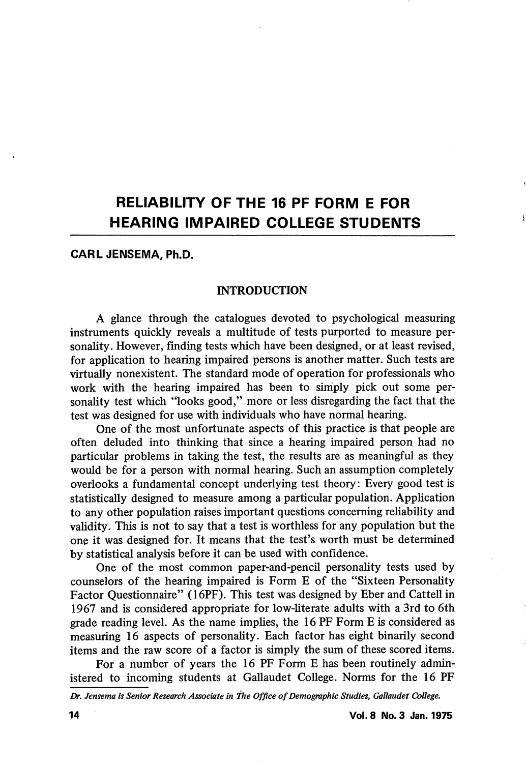# RELIABILITY OF THE 16 PF FORM E FOR HEARING IMPAIRED COLLEGE STUDENTS

## CARL JENSEMA, Ph.D.

### **INTRODUCTION**

A glance through the catalogues devoted to psychological measuring instruments quickly reveals a multitude of tests purported to measure per sonality. However, finding tests which have been designed, or at least revised, for application to hearing impaired persons is another matter. Such tests are virtually nonexistent. The standard mode of operation for professionals who work with the hearing impaired has been to simply pick out some personality test which "looks good," more or less disregarding the fact that the test was designed for use with individuals who have normal hearing.

One of the most unfortunate aspects of this practice is that people are often deluded into thinking that since a hearing impaired person had no particular problems in taking the test, the results are as meaningful as they would be for a person with normal hearing. Such an assumption completely overlooks a fimdamental concept underlying test theory: Every good test is statistically designed to measure among a particular population. Application to any other population raises important questions concerning reliability and validity. This is not to say that a test is worthless for any population but the one it was designed for. It means that the test's worth must be determined by statistical analysis before it can be used with confidence.

One of the most common paper-and-pencil personality tests used by counselors of the hearing impaired is Form E of the "Sixteen Personality Factor Questionnaire" (16PF). This test was designed by Eber and Cattell in 1967 and is considered appropriate for low-literate adults with a 3rd to 6th grade reading level. As the name implies, the 16 PF Form E is considered as measuring 16 aspects of personality. Each factor has eight binarily second items and the raw score of a factor is simply the sum of these scored items.

For a number of years the 16 PF Form E has been routinely admin istered to incoming students at Gallaudet College. Norms for the 16 PF

Dr. Jensema is Senior Research Associate in the Office of Demographic Studies, Galiaudet College.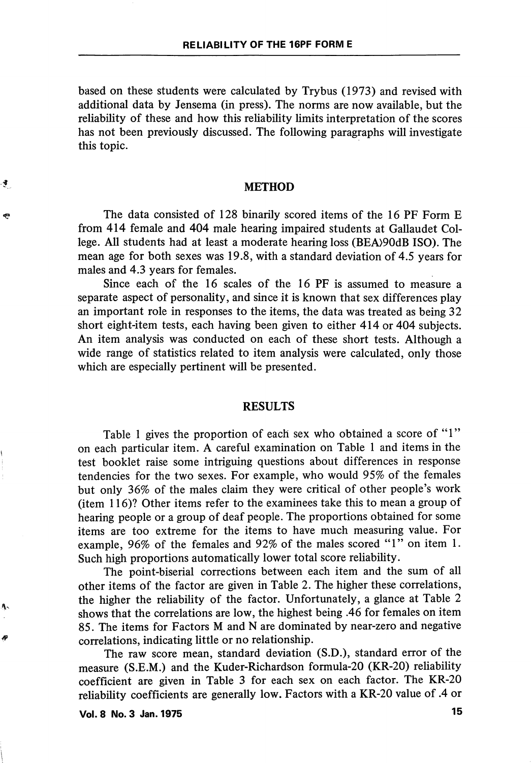based on these students were calculated by Trybus (1973) and revised with additional data by Jensema (in press). The norms are now available, but the reliability of these and how this reliability limits interpretation of the scores has not been previously discussed. The following paragraphs will investigate this topic.

#### METHOD

The data consisted of 128 binarily scored items of the 16 PF Form E from 414 female and 404 male hearing impaired students at Gallaudet Col lege. All students had at least a moderate hearing loss (BEA>90dB ISO). The mean age for both sexes was 19.8, with a standard deviation of 4.5 years for males and 4.3 years for females.

Since each of the 16 scales of the 16 PF is assumed to measure a separate aspect of personality, and since it is known that sex differences play an important role in responses to the items, the data was treated as being 32 short eight-item tests, each having been given to either 414 or 404 subjects. An item analysis was conducted on each of these short tests. Although a wide range of statistics related to item analysis were calculated, only those which are especially pertinent will be presented.

#### RESULTS

Table 1 gives the proportion of each sex who obtained a score of "1" on each particular item. A careful examination on Table 1 and items in the test booklet raise some intriguing questions about differences in response tendencies for the two sexes. For example, who would 95% of the females but only 36% of the males claim they were critical of other people's work (item  $116$ )? Other items refer to the examinees take this to mean a group of hearing people or a group of deaf people. The proportions obtained for some items are too extreme for the items to have much measuring value. For example, 96% of the females and 92% of the males scored "1" on item 1. Such high proportions automatically lower total score reliability.

The point-biserial corrections between each item and the sum of all other items of the factor are given in Table 2. The higher these correlations, the higher the reliability of the factor. Unfortunately, a glance at Table 2 shows that the correlations are low, the highest being .46 for females on item 85. The items for Factors M and N are dominated by near-zero and negative correlations, indicating little or no relationship.

The raw score mean, standard deviation (S.D.), standard error of the measure (S.E.M.) and the Kuder-Richardson formula-20 (KR-20) reliability coefficient are given in Table 3 for each sex on each factor. The KR-20 reliability coefficients are generally low. Factors with a KR-20 value of .4 or

Vol. 8 No. 3 Jan. 1975 15

નું

€

Α.

đ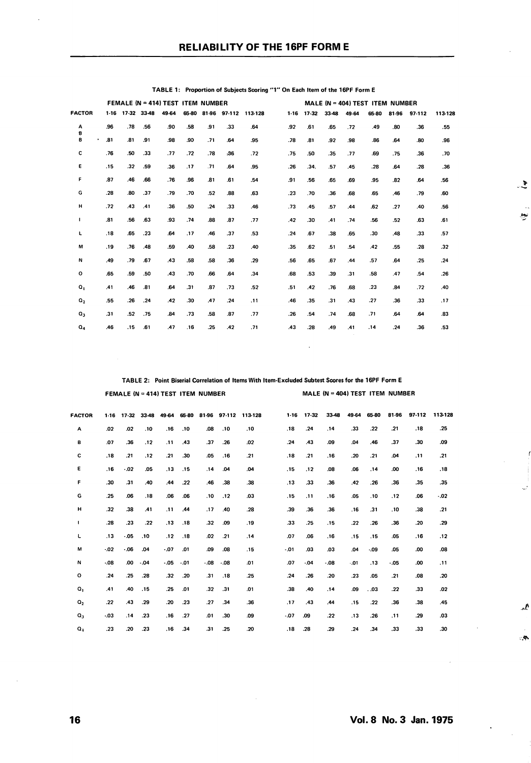|                  | FEMALE (N = 414) TEST ITEM NUMBER |                  |     |       |       |     |     | MALE (N = 404) TEST ITEM NUMBER |  |        |       |       |       |       |       |        |         |
|------------------|-----------------------------------|------------------|-----|-------|-------|-----|-----|---------------------------------|--|--------|-------|-------|-------|-------|-------|--------|---------|
| <b>FACTOR</b>    |                                   | 1-16 17-32 33-48 |     | 49-64 | 65-80 |     |     | 81-96 97-112 113-128            |  | $1-16$ | 17-32 | 33-48 | 49-64 | 65-80 | 81-96 | 97-112 | 113-128 |
| А<br>8           | .96                               | .78              | .56 | .90   | .58   | .91 | .33 | .64                             |  | .92    | .61   | .65   | .72   | .49   | .80   | .36    | .55     |
| B<br>٠           | .81                               | .81              | .91 | .98   | .90   | .71 | .64 | .95                             |  | .78    | .81   | .92   | .98   | .86   | .64   | .80    | .96     |
| с                | .76                               | .50              | .33 | .77   | .72   | .78 | .36 | .72                             |  | .75    | .50   | .35   | .77   | .69   | .75   | .36    | .70     |
| Ε                | .15                               | .32              | .59 | .36   | .17   | .71 | .64 | .95                             |  | .26    | .34.  | .57   | .45   | .28   | .64   | .28    | .36     |
| F                | .87                               | .46              | .66 | .76   | .96   | .81 | .61 | .54                             |  | .91    | .56   | .65   | .69   | .95   | .82   | .64    | .56     |
| G                | .28                               | .80              | .37 | .79   | .70   | .52 | .88 | .63                             |  | .23    | .70   | .36   | .68   | .65   | .46   | .79    | .60     |
| н                | .72                               | .43              | .41 | .36   | .50   | .24 | .33 | .46                             |  | .73    | .45   | .57   | .44   | .62   | .27   | .40    | .56     |
| ı.               | .81                               | .56              | .63 | .93   | .74   | .88 | .87 | .77                             |  | .42    | .30   | .41   | .74   | .56   | .52   | .63    | .61     |
| L                | .18                               | .65              | .23 | .64   | .17   | .46 | .37 | .53                             |  | .24    | .67   | .38   | .65   | .30   | .48   | .33    | .57     |
| M                | .19                               | .76              | .48 | .59   | .40   | .58 | .23 | .40                             |  | .35    | .62   | .51   | .54   | .42   | .55   | .28    | .32     |
| N                | .49                               | .79              | .67 | .43   | .58   | .58 | .36 | .29                             |  | .56    | .65   | .67   | .44   | .57   | .64   | .25    | .24     |
| $\circ$          | .65                               | .59              | .50 | .43   | .70   | .66 | .64 | .34                             |  | .68    | .53   | .39   | .31   | .58   | .47   | .54    | .26     |
| $\mathbf{o}_{1}$ | .41                               | .46              | .81 | .64   | .31   | .87 | .73 | .52                             |  | .51    | .42   | .76   | .68   | .23   | .84   | .72    | .40     |
| $Q_{2}$          | .55                               | .26              | .24 | .42   | .30   | .47 | .24 | .11                             |  | .46    | .35   | .31   | .43   | .27   | .36   | .33    | .17     |
| $Q_3$            | .31                               | .52              | .75 | .84   | .73   | .58 | .87 | .77                             |  | .26    | .54   | .74   | .68   | .71   | .64   | .64    | .83     |
| $Q_4$            | .46                               | .15              | .61 | .47   | .16   | .25 | .42 | .71                             |  | .43    | .28   | .49   | .41   | .14   | .24   | .36    | .53     |
|                  |                                   |                  |     |       |       |     |     |                                 |  |        |       |       |       |       |       |        |         |

TABLE 1: Proportion of Subjects Scoring "1" On Each Item of the 16PF Form E

TABLE 2: Point Biserial Correlation of Items With Item-Excluded Subtest Scores for the 16PF Form E

FEMALE (N = 414) TEST ITEM NUMBER MALE (N = 404) TEST ITEM NUMBER

 $\mathcal{L}$ 

 $\sim$ 

44.

 $\sim$   $\sim$ 

| <b>FACTOR</b>    | $1-16$ | $17 - 32$ | 33-48 | 49-64 | 65-80 | 81-96  |        | 97-112 113-128 | $1-16$ | $17 - 32$ | 33-48   | 49-64 | 65-80   | 81-96   | 97-112 | 113-128 |
|------------------|--------|-----------|-------|-------|-------|--------|--------|----------------|--------|-----------|---------|-------|---------|---------|--------|---------|
| Α                | .02    | .02       | .10   | .16   | .10   | .08    | .10    | .10            | .18    | .24       | .14     | .33   | .22     | .21     | .18    | .25     |
| в                | .07    | .36       | .12   | .11   | .43   | .37    | .26    | .02            | .24    | .43       | .09     | .04   | .46     | .37     | .30    | .09     |
| c                | .18    | .21       | .12   | .21   | .30   | .05    | .16    | .21            | .18    | .21       | .16     | .20   | .21     | .04     | .11    | .21     |
| ε                | .16    | .02       | .05   | .13   | .15   | .14    | .04    | .04            | .15    | .12       | .08     | .06   | , 14    | .00     | .16    | .18     |
| F                | .30    | .31       | .40   | .44   | .22   | .46    | .38    | .38            | .13    | .33       | .36     | .42   | .26     | .36     | .35    | .35     |
| G                | .25    | .06       | .18   | .06   | .06   | .10    | .12    | .03            | .15    | .11       | .16     | .05   | .10     | .12     | .06    | $-0.02$ |
| н                | .32    | .38       | .41   | .11   | .44   | .17    | .40    | .28            | .39    | .36       | .36     | .16   | .31     | .10     | .38    | .21     |
| $\mathbf{I}$     | .28    | .23       | .22   | .13   | .18   | .32    | .09    | .19            | .33    | .25       | .15     | .22   | .26     | .36     | .20    | .29     |
| г                | .13    | .05       | .10   | .12   | .18   | .02    | .21    | , 14           | .07    | .06       | .16     | .15   | .15     | .05     | .16    | .12     |
| M                | $-02$  | $-06$     | .04   | .07   | .01   | .09    | .08    | .15            | .01    | .03       | .03     | .04   | $-0.09$ | .05     | .00    | .08     |
| N                | .08    | .00       | .04   | .05   | .01   | $-.08$ | $-.08$ | .01            | .07    | $-04$     | $-0.08$ | .01   | .13     | $-0.05$ | .00    | .11     |
| $\mathbf{o}$     | .24    | .25       | .28   | .32   | .20   | .31    | .18    | .25            | .24    | .26       | .20     | .23   | .05     | .21     | .08    | .20     |
| $\mathbf{o}_{1}$ | .41    | .40       | .15   | .25   | .01   | .32    | .31    | .01            | .38    | .40       | .14     | .09   | .03     | .22     | .33    | .02     |
| $\mathbf{O}_2$   | .22    | .43       | .29   | .20   | -23   | .27    | .34    | .36            | .17    | .43       | .44     | .15   | .22     | .36     | .38    | .45     |
| $\mathbf{Q}_3$   | .03    | .14       | -23   | .16   | .27   | .01    | .30    | .09            | $-07$  | .09       | .22     | .13   | .26     | ,11     | .29    | .03     |
| $Q_4$            | .23    | .20       | .23   | .16   | .34   | .31    | .25    | .20            | .18    | .28       | .29     | .24   | .34     | .33     | .33    | .30     |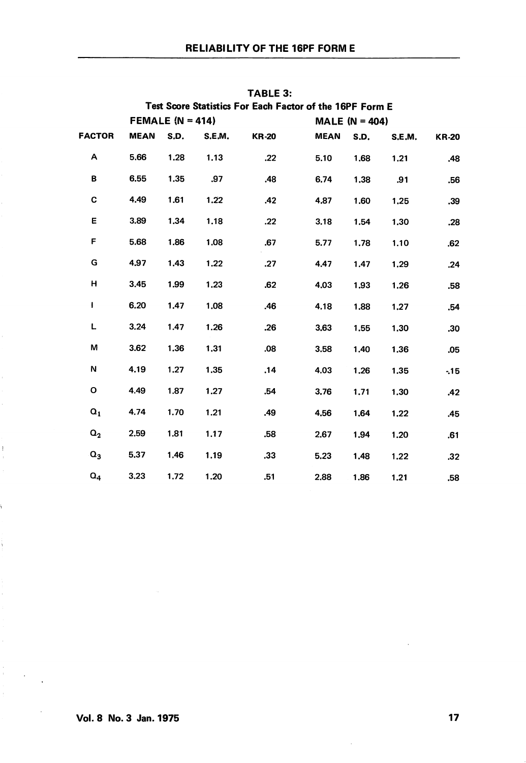| Test Score Statistics For Each Factor of the 16PF Form E |             |                    |        |              |             |                   |        |              |  |  |  |
|----------------------------------------------------------|-------------|--------------------|--------|--------------|-------------|-------------------|--------|--------------|--|--|--|
|                                                          |             | FEMALE $(N = 414)$ |        |              |             | MALE (N = $404$ ) |        |              |  |  |  |
| <b>FACTOR</b>                                            | <b>MEAN</b> | S.D.               | S.E.M. | <b>KR-20</b> | <b>MEAN</b> | S.D.              | S.E.M. | <b>KR-20</b> |  |  |  |
| Α                                                        | 5.66        | 1.28               | 1.13   | .22          | 5.10        | 1.68              | 1.21   | .48          |  |  |  |
| в                                                        | 6.55        | 1.35               | .97    | .48          | 6.74        | 1.38              | .91    | .56          |  |  |  |
| C                                                        | 4.49        | 1.61               | 1.22   | .42          | 4,87        | 1.60              | 1.25   | .39          |  |  |  |
| Ε                                                        | 3.89        | 1.34               | 1.18   | .22          | 3.18        | 1.54              | 1,30   | .28          |  |  |  |
| F                                                        | 5.68        | 1.86               | 1.08   | .67          | 5.77        | 1.78              | 1.10   | .62          |  |  |  |
| G                                                        | 4.97        | 1.43               | 1.22   | .27          | 4.47        | 1.47              | 1.29   | .24          |  |  |  |
| н                                                        | 3.45        | 1.99               | 1.23   | .62          | 4.03        | 1.93              | 1.26   | .58          |  |  |  |
| I                                                        | 6.20        | 1.47               | 1,08   | .46          | 4.18        | 1.88              | 1.27   | .54          |  |  |  |
| L                                                        | 3.24        | 1.47               | 1.26   | .26          | 3.63        | 1.55              | 1.30   | .30          |  |  |  |
| М                                                        | 3.62        | 1.36               | 1,31   | .08          | 3.58        | 1.40              | 1.36   | .05          |  |  |  |
| N                                                        | 4.19        | 1.27               | 1.35   | .14          | 4.03        | 1,26              | 1.35   | $-15$        |  |  |  |
| o                                                        | 4.49        | 1.87               | 1.27   | .54          | 3.76        | 1.71              | 1.30   | .42          |  |  |  |
| $\mathbf{Q}_1$                                           | 4.74        | 1.70               | 1.21   | .49          | 4.56        | 1,64              | 1.22   | .45          |  |  |  |
| $\mathsf{Q}_2$                                           | 2.59        | 1.81               | 1.17   | .58          | 2.67        | 1,94              | 1.20   | .61          |  |  |  |
| $Q_3$                                                    | 5.37        | 1.46               | 1.19   | .33          | 5.23        | 1,48              | 1.22   | .32          |  |  |  |
| $Q_4$                                                    | 3.23        | 1.72               | 1.20   | .51          | 2,88        | 1.86              | 1,21   | .58          |  |  |  |

TABLE 3:

 $\mathbf{I}$ 

ý.

ŧ.

 $\frac{1}{\Gamma}$  $\sim 10^7$